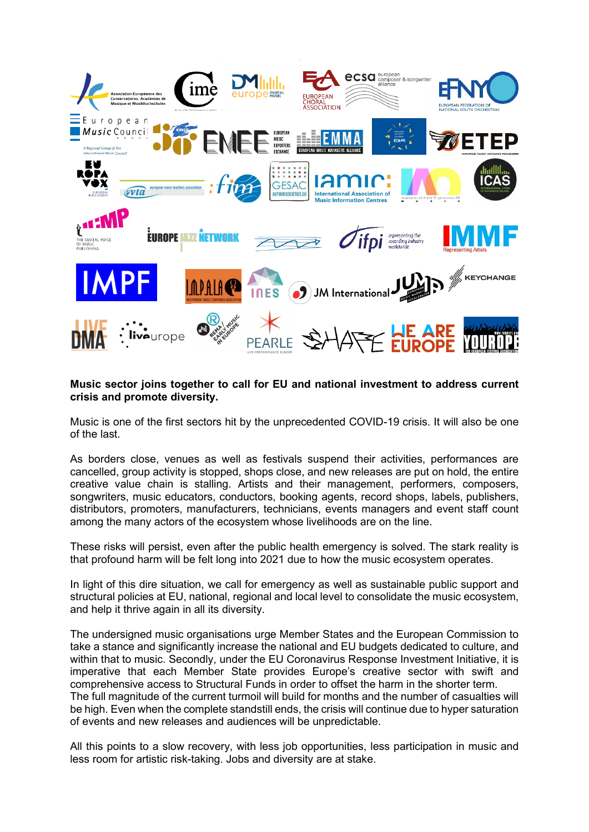

## **Music sector joins together to call for EU and national investment to address current crisis and promote diversity.**

Music is one of the first sectors hit by the unprecedented COVID-19 crisis. It will also be one of the last.

As borders close, venues as well as festivals suspend their activities, performances are cancelled, group activity is stopped, shops close, and new releases are put on hold, the entire creative value chain is stalling. Artists and their management, performers, composers, songwriters, music educators, conductors, booking agents, record shops, labels, publishers, distributors, promoters, manufacturers, technicians, events managers and event staff count among the many actors of the ecosystem whose livelihoods are on the line.

These risks will persist, even after the public health emergency is solved. The stark reality is that profound harm will be felt long into 2021 due to how the music ecosystem operates.

In light of this dire situation, we call for emergency as well as sustainable public support and structural policies at EU, national, regional and local level to consolidate the music ecosystem, and help it thrive again in all its diversity.

The undersigned music organisations urge Member States and the European Commission to take a stance and significantly increase the national and EU budgets dedicated to culture, and within that to music. Secondly, under the EU Coronavirus Response Investment Initiative, it is imperative that each Member State provides Europe's creative sector with swift and comprehensive access to Structural Funds in order to offset the harm in the shorter term. The full magnitude of the current turmoil will build for months and the number of casualties will be high. Even when the complete standstill ends, the crisis will continue due to hyper saturation of events and new releases and audiences will be unpredictable.

All this points to a slow recovery, with less job opportunities, less participation in music and less room for artistic risk-taking. Jobs and diversity are at stake.